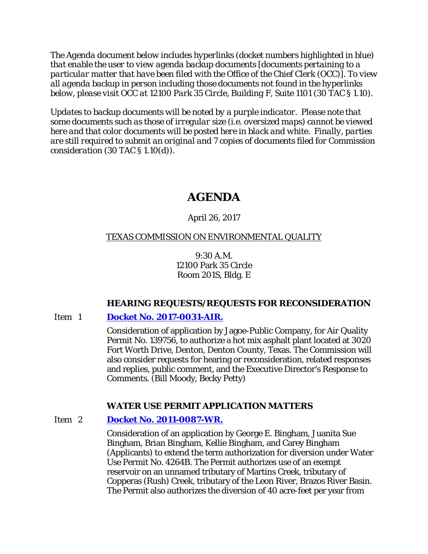*The Agenda document below includes hyperlinks (docket numbers highlighted in blue) that enable the user to view agenda backup documents [documents pertaining to a particular matter that have been filed with the Office of the Chief Clerk (OCC)]. To view all agenda backup in person including those documents not found in the hyperlinks below, please visit OCC at 12100 Park 35 Circle, Building F, Suite 1101 (30 TAC § 1.10).*

*Updates to backup documents will be noted by a purple indicator. Please note that some documents such as those of irregular size (i.e. oversized maps) cannot be viewed here and that color documents will be posted here in black and white. Finally, parties are still required to submit an original and 7 copies of documents filed for Commission consideration (30 TAC § 1.10(d)).*

# **AGENDA**

# April 26, 2017

# TEXAS COMMISSION ON ENVIRONMENTAL QUALITY

9:30 A.M. 12100 Park 35 Circle Room 201S, Bldg. E

# **HEARING REQUESTS/REQUESTS FOR RECONSIDERATION**

# Item 1 **[Docket No. 2017-0031-AIR.](http://www.tceq.texas.gov/assets/public/comm_exec/agendas/comm/backup/Agendas/2017/04-26-2017/jagoe.pdf)**

Consideration of application by Jagoe-Public Company, for Air Quality Permit No. 139756, to authorize a hot mix asphalt plant located at 3020 Fort Worth Drive, Denton, Denton County, Texas. The Commission will also consider requests for hearing or reconsideration, related responses and replies, public comment, and the Executive Director's Response to Comments. (Bill Moody, Becky Petty)

# **WATER USE PERMIT APPLICATION MATTERS**

# Item 2 **[Docket No. 2011-0087-WR.](http://www.tceq.texas.gov/assets/public/comm_exec/agendas/comm/backup/Agendas/2017/04-26-2017/bingham1.pdf)**

Consideration of an application by George E. Bingham, Juanita Sue Bingham, Brian Bingham, Kellie Bingham, and Carey Bingham (Applicants) to extend the term authorization for diversion under Water Use Permit No. 4264B. The Permit authorizes use of an exempt reservoir on an unnamed tributary of Martins Creek, tributary of Copperas (Rush) Creek, tributary of the Leon River, Brazos River Basin. The Permit also authorizes the diversion of 40 acre-feet per year from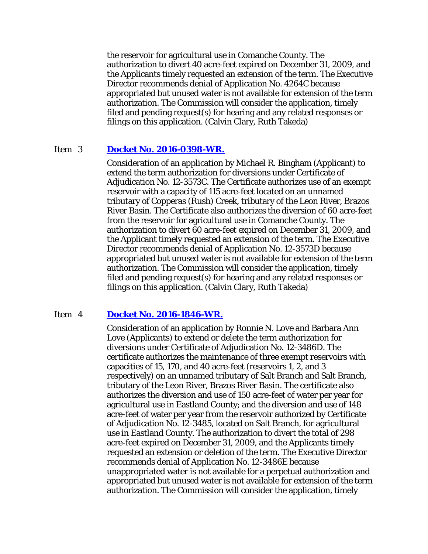the reservoir for agricultural use in Comanche County. The authorization to divert 40 acre-feet expired on December 31, 2009, and the Applicants timely requested an extension of the term. The Executive Director recommends denial of Application No. 4264C because appropriated but unused water is not available for extension of the term authorization. The Commission will consider the application, timely filed and pending request(s) for hearing and any related responses or filings on this application. (Calvin Clary, Ruth Takeda)

### Item 3 **[Docket No. 2016-0398-WR.](http://www.tceq.texas.gov/assets/public/comm_exec/agendas/comm/backup/Agendas/2017/04-26-2017/bingham2.pdf)**

Consideration of an application by Michael R. Bingham (Applicant) to extend the term authorization for diversions under Certificate of Adjudication No. 12-3573C. The Certificate authorizes use of an exempt reservoir with a capacity of 115 acre-feet located on an unnamed tributary of Copperas (Rush) Creek, tributary of the Leon River, Brazos River Basin. The Certificate also authorizes the diversion of 60 acre-feet from the reservoir for agricultural use in Comanche County. The authorization to divert 60 acre-feet expired on December 31, 2009, and the Applicant timely requested an extension of the term. The Executive Director recommends denial of Application No. 12-3573D because appropriated but unused water is not available for extension of the term authorization. The Commission will consider the application, timely filed and pending request(s) for hearing and any related responses or filings on this application. (Calvin Clary, Ruth Takeda)

### Item 4 **[Docket No. 2016-1846-WR.](http://www.tceq.texas.gov/assets/public/comm_exec/agendas/comm/backup/Agendas/2017/04-26-2017/love.pdf)**

Consideration of an application by Ronnie N. Love and Barbara Ann Love (Applicants) to extend or delete the term authorization for diversions under Certificate of Adjudication No. 12-3486D. The certificate authorizes the maintenance of three exempt reservoirs with capacities of 15, 170, and 40 acre-feet (reservoirs 1, 2, and 3 respectively) on an unnamed tributary of Salt Branch and Salt Branch, tributary of the Leon River, Brazos River Basin. The certificate also authorizes the diversion and use of 150 acre-feet of water per year for agricultural use in Eastland County; and the diversion and use of 148 acre-feet of water per year from the reservoir authorized by Certificate of Adjudication No. 12-3485, located on Salt Branch, for agricultural use in Eastland County. The authorization to divert the total of 298 acre-feet expired on December 31, 2009, and the Applicants timely requested an extension or deletion of the term. The Executive Director recommends denial of Application No. 12-3486E because unappropriated water is not available for a perpetual authorization and appropriated but unused water is not available for extension of the term authorization. The Commission will consider the application, timely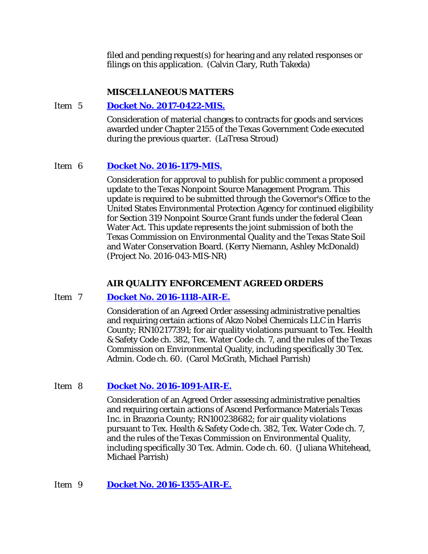filed and pending request(s) for hearing and any related responses or filings on this application. (Calvin Clary, Ruth Takeda)

### **MISCELLANEOUS MATTERS**

### Item 5 **[Docket No. 2017-0422-MIS.](http://www.tceq.texas.gov/assets/public/comm_exec/agendas/comm/backup/Agendas/2017/04-26-2017/0422MIS.pdf)**

Consideration of material changes to contracts for goods and services awarded under Chapter 2155 of the Texas Government Code executed during the previous quarter. (LaTresa Stroud)

# Item 6 **[Docket No. 2016-1179-MIS.](http://www.tceq.texas.gov/assets/public/comm_exec/agendas/comm/backup/Agendas/2017/04-26-2017/1179MIS.pdf)**

Consideration for approval to publish for public comment a proposed update to the Texas Nonpoint Source Management Program. This update is required to be submitted through the Governor's Office to the United States Environmental Protection Agency for continued eligibility for Section 319 Nonpoint Source Grant funds under the federal Clean Water Act. This update represents the joint submission of both the Texas Commission on Environmental Quality and the Texas State Soil and Water Conservation Board. (Kerry Niemann, Ashley McDonald) (Project No. 2016-043-MIS-NR)

# **AIR QUALITY ENFORCEMENT AGREED ORDERS**

# Item 7 **[Docket No. 2016-1118-AIR-E.](http://www.tceq.texas.gov/assets/public/comm_exec/agendas/comm/backup/Agendas/2017/04-26-2017/1118AIR.pdf)**

Consideration of an Agreed Order assessing administrative penalties and requiring certain actions of Akzo Nobel Chemicals LLC in Harris County; RN102177391; for air quality violations pursuant to Tex. Health & Safety Code ch. 382, Tex. Water Code ch. 7, and the rules of the Texas Commission on Environmental Quality, including specifically 30 Tex. Admin. Code ch. 60. (Carol McGrath, Michael Parrish)

# Item 8 **[Docket No. 2016-1091-AIR-E.](http://www.tceq.texas.gov/assets/public/comm_exec/agendas/comm/backup/Agendas/2017/04-26-2017/1091AIR.pdf)**

Consideration of an Agreed Order assessing administrative penalties and requiring certain actions of Ascend Performance Materials Texas Inc. in Brazoria County; RN100238682; for air quality violations pursuant to Tex. Health & Safety Code ch. 382, Tex. Water Code ch. 7, and the rules of the Texas Commission on Environmental Quality, including specifically 30 Tex. Admin. Code ch. 60. (Juliana Whitehead, Michael Parrish)

# Item 9 **[Docket No. 2016-1355-AIR-E.](http://www.tceq.texas.gov/assets/public/comm_exec/agendas/comm/backup/Agendas/2017/04-26-2017/1355AIR.pdf)**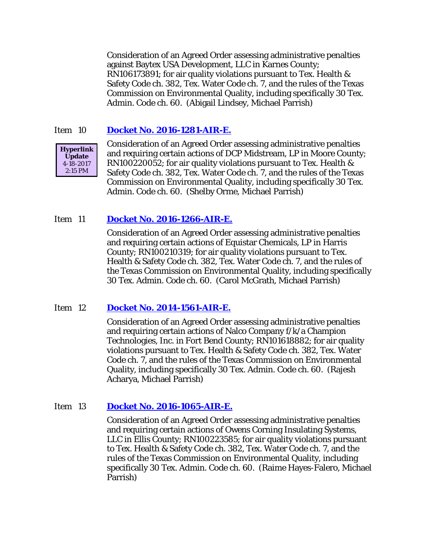Consideration of an Agreed Order assessing administrative penalties against Baytex USA Development, LLC in Karnes County; RN106173891; for air quality violations pursuant to Tex. Health & Safety Code ch. 382, Tex. Water Code ch. 7, and the rules of the Texas Commission on Environmental Quality, including specifically 30 Tex. Admin. Code ch. 60. (Abigail Lindsey, Michael Parrish)

### Item 10 **[Docket No. 2016-1281-AIR-E.](http://www.tceq.texas.gov/assets/public/comm_exec/agendas/comm/backup/Agendas/2017/04-26-2017/1281AIR.pdf)**



Consideration of an Agreed Order assessing administrative penalties and requiring certain actions of DCP Midstream, LP in Moore County; RN100220052; for air quality violations pursuant to Tex. Health & Safety Code ch. 382, Tex. Water Code ch. 7, and the rules of the Texas Commission on Environmental Quality, including specifically 30 Tex. Admin. Code ch. 60. (Shelby Orme, Michael Parrish)

### Item 11 **[Docket No. 2016-1266-AIR-E.](http://www.tceq.texas.gov/assets/public/comm_exec/agendas/comm/backup/Agendas/2017/04-26-2017/1266AIR.pdf)**

Consideration of an Agreed Order assessing administrative penalties and requiring certain actions of Equistar Chemicals, LP in Harris County; RN100210319; for air quality violations pursuant to Tex. Health & Safety Code ch. 382, Tex. Water Code ch. 7, and the rules of the Texas Commission on Environmental Quality, including specifically 30 Tex. Admin. Code ch. 60. (Carol McGrath, Michael Parrish)

### Item 12 **[Docket No. 2014-1561-AIR-E.](http://www.tceq.texas.gov/assets/public/comm_exec/agendas/comm/backup/Agendas/2017/04-26-2017/1561AIR.pdf)**

Consideration of an Agreed Order assessing administrative penalties and requiring certain actions of Nalco Company f/k/a Champion Technologies, Inc. in Fort Bend County; RN101618882; for air quality violations pursuant to Tex. Health & Safety Code ch. 382, Tex. Water Code ch. 7, and the rules of the Texas Commission on Environmental Quality, including specifically 30 Tex. Admin. Code ch. 60. (Rajesh Acharya, Michael Parrish)

### Item 13 **[Docket No. 2016-1065-AIR-E.](http://www.tceq.texas.gov/assets/public/comm_exec/agendas/comm/backup/Agendas/2017/04-26-2017/1065AIR.pdf)**

Consideration of an Agreed Order assessing administrative penalties and requiring certain actions of Owens Corning Insulating Systems, LLC in Ellis County; RN100223585; for air quality violations pursuant to Tex. Health & Safety Code ch. 382, Tex. Water Code ch. 7, and the rules of the Texas Commission on Environmental Quality, including specifically 30 Tex. Admin. Code ch. 60. (Raime Hayes-Falero, Michael Parrish)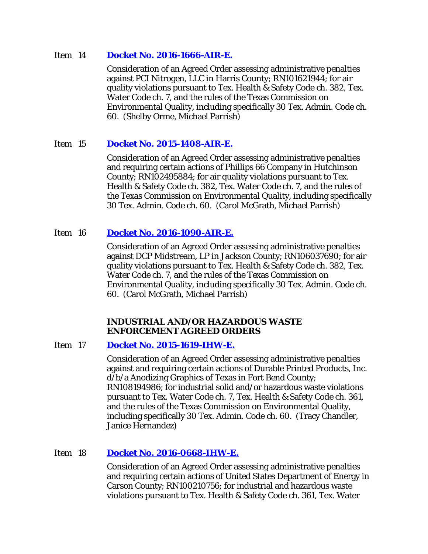### Item 14 **[Docket No. 2016-1666-AIR-E.](http://www.tceq.texas.gov/assets/public/comm_exec/agendas/comm/backup/Agendas/2017/04-26-2017/1666AIR.pdf)**

Consideration of an Agreed Order assessing administrative penalties against PCI Nitrogen, LLC in Harris County; RN101621944; for air quality violations pursuant to Tex. Health & Safety Code ch. 382, Tex. Water Code ch. 7, and the rules of the Texas Commission on Environmental Quality, including specifically 30 Tex. Admin. Code ch. 60. (Shelby Orme, Michael Parrish)

# Item 15 **[Docket No. 2015-1408-AIR-E.](http://www.tceq.texas.gov/assets/public/comm_exec/agendas/comm/backup/Agendas/2017/04-26-2017/1408AIR.pdf)**

Consideration of an Agreed Order assessing administrative penalties and requiring certain actions of Phillips 66 Company in Hutchinson County; RN102495884; for air quality violations pursuant to Tex. Health & Safety Code ch. 382, Tex. Water Code ch. 7, and the rules of the Texas Commission on Environmental Quality, including specifically 30 Tex. Admin. Code ch. 60. (Carol McGrath, Michael Parrish)

# Item 16 **[Docket No. 2016-1090-AIR-E.](http://www.tceq.texas.gov/assets/public/comm_exec/agendas/comm/backup/Agendas/2017/04-26-2017/1090AIR.pdf)**

Consideration of an Agreed Order assessing administrative penalties against DCP Midstream, LP in Jackson County; RN106037690; for air quality violations pursuant to Tex. Health & Safety Code ch. 382, Tex. Water Code ch. 7, and the rules of the Texas Commission on Environmental Quality, including specifically 30 Tex. Admin. Code ch. 60. (Carol McGrath, Michael Parrish)

# **INDUSTRIAL AND/OR HAZARDOUS WASTE ENFORCEMENT AGREED ORDERS**

# Item 17 **[Docket No. 2015-1619-IHW-E.](http://www.tceq.texas.gov/assets/public/comm_exec/agendas/comm/backup/Agendas/2017/04-26-2017/1619IHW.pdf)**

Consideration of an Agreed Order assessing administrative penalties against and requiring certain actions of Durable Printed Products, Inc. d/b/a Anodizing Graphics of Texas in Fort Bend County; RN108194986; for industrial solid and/or hazardous waste violations pursuant to Tex. Water Code ch. 7, Tex. Health & Safety Code ch. 361, and the rules of the Texas Commission on Environmental Quality, including specifically 30 Tex. Admin. Code ch. 60. (Tracy Chandler, Janice Hernandez)

# Item 18 **[Docket No. 2016-0668-IHW-E.](http://www.tceq.texas.gov/assets/public/comm_exec/agendas/comm/backup/Agendas/2017/04-26-2017/0668IHW.pdf)**

Consideration of an Agreed Order assessing administrative penalties and requiring certain actions of United States Department of Energy in Carson County; RN100210756; for industrial and hazardous waste violations pursuant to Tex. Health & Safety Code ch. 361, Tex. Water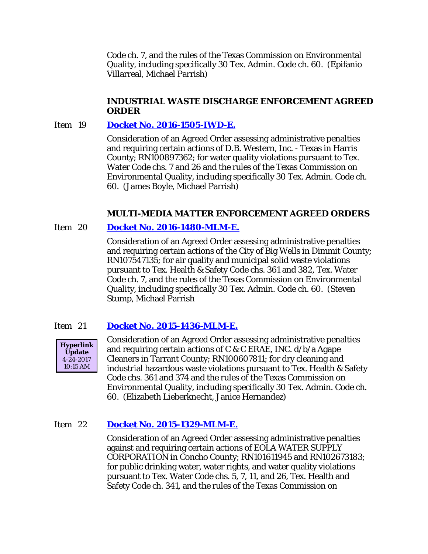Code ch. 7, and the rules of the Texas Commission on Environmental Quality, including specifically 30 Tex. Admin. Code ch. 60. (Epifanio Villarreal, Michael Parrish)

### **INDUSTRIAL WASTE DISCHARGE ENFORCEMENT AGREED ORDER**

### Item 19 **[Docket No. 2016-1505-IWD-E.](http://www.tceq.texas.gov/assets/public/comm_exec/agendas/comm/backup/Agendas/2017/04-26-2017/1505IWD.pdf)**

Consideration of an Agreed Order assessing administrative penalties and requiring certain actions of D.B. Western, Inc. - Texas in Harris County; RN100897362; for water quality violations pursuant to Tex. Water Code chs. 7 and 26 and the rules of the Texas Commission on Environmental Quality, including specifically 30 Tex. Admin. Code ch. 60. (James Boyle, Michael Parrish)

### **MULTI-MEDIA MATTER ENFORCEMENT AGREED ORDERS**

### Item 20 **[Docket No. 2016-1480-MLM-E.](http://www.tceq.texas.gov/assets/public/comm_exec/agendas/comm/backup/Agendas/2017/04-26-2017/1480MLM.pdf)**

Consideration of an Agreed Order assessing administrative penalties and requiring certain actions of the City of Big Wells in Dimmit County; RN107547135; for air quality and municipal solid waste violations pursuant to Tex. Health & Safety Code chs. 361 and 382, Tex. Water Code ch. 7, and the rules of the Texas Commission on Environmental Quality, including specifically 30 Tex. Admin. Code ch. 60. (Steven Stump, Michael Parrish

# Item 21 **[Docket No. 2015-1436-MLM-E.](http://www.tceq.texas.gov/assets/public/comm_exec/agendas/comm/backup/Agendas/2017/04-26-2017/1436MLM.pdf)**



Consideration of an Agreed Order assessing administrative penalties and requiring certain actions of C & C ERAE, INC. d/b/a Agape Cleaners in Tarrant County; RN100607811; for dry cleaning and industrial hazardous waste violations pursuant to Tex. Health & Safety Code chs. 361 and 374 and the rules of the Texas Commission on Environmental Quality, including specifically 30 Tex. Admin. Code ch. 60. (Elizabeth Lieberknecht, Janice Hernandez)

### Item 22 **[Docket No. 2015-1329-MLM-E.](http://www.tceq.texas.gov/assets/public/comm_exec/agendas/comm/backup/Agendas/2017/04-26-2017/1329MLM.pdf)**

Consideration of an Agreed Order assessing administrative penalties against and requiring certain actions of EOLA WATER SUPPLY CORPORATION in Concho County; RN101611945 and RN102673183; for public drinking water, water rights, and water quality violations pursuant to Tex. Water Code chs. 5, 7, 11, and 26, Tex. Health and Safety Code ch. 341, and the rules of the Texas Commission on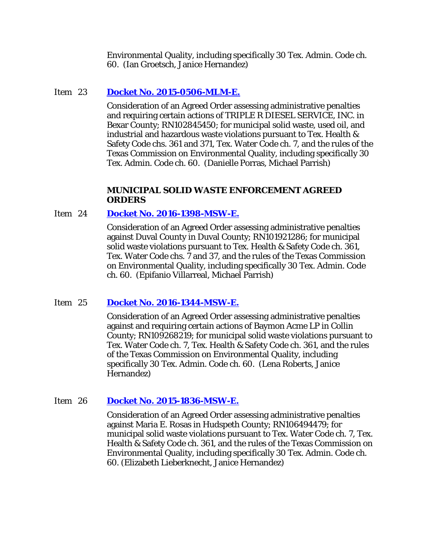Environmental Quality, including specifically 30 Tex. Admin. Code ch. 60. (Ian Groetsch, Janice Hernandez)

# Item 23 **[Docket No. 2015-0506-MLM-E.](http://www.tceq.texas.gov/assets/public/comm_exec/agendas/comm/backup/Agendas/2017/04-26-2017/0506MLM.pdf)**

Consideration of an Agreed Order assessing administrative penalties and requiring certain actions of TRIPLE R DIESEL SERVICE, INC. in Bexar County; RN102845450; for municipal solid waste, used oil, and industrial and hazardous waste violations pursuant to Tex. Health & Safety Code chs. 361 and 371, Tex. Water Code ch. 7, and the rules of the Texas Commission on Environmental Quality, including specifically 30 Tex. Admin. Code ch. 60. (Danielle Porras, Michael Parrish)

### **MUNICIPAL SOLID WASTE ENFORCEMENT AGREED ORDERS**

# Item 24 **[Docket No. 2016-1398-MSW-E.](http://www.tceq.texas.gov/assets/public/comm_exec/agendas/comm/backup/Agendas/2017/04-26-2017/1398MSW.pdf)**

Consideration of an Agreed Order assessing administrative penalties against Duval County in Duval County; RN101921286; for municipal solid waste violations pursuant to Tex. Health & Safety Code ch. 361, Tex. Water Code chs. 7 and 37, and the rules of the Texas Commission on Environmental Quality, including specifically 30 Tex. Admin. Code ch. 60. (Epifanio Villarreal, Michael Parrish)

# Item 25 **[Docket No. 2016-1344-MSW-E.](http://www.tceq.texas.gov/assets/public/comm_exec/agendas/comm/backup/Agendas/2017/04-26-2017/1344MSW.pdf)**

Consideration of an Agreed Order assessing administrative penalties against and requiring certain actions of Baymon Acme LP in Collin County; RN109268219; for municipal solid waste violations pursuant to Tex. Water Code ch. 7, Tex. Health & Safety Code ch. 361, and the rules of the Texas Commission on Environmental Quality, including specifically 30 Tex. Admin. Code ch. 60. (Lena Roberts, Janice Hernandez)

### Item 26 **[Docket No. 2015-1836-MSW-E.](http://www.tceq.texas.gov/assets/public/comm_exec/agendas/comm/backup/Agendas/2017/04-26-2017/1836MSW.pdf)**

Consideration of an Agreed Order assessing administrative penalties against Maria E. Rosas in Hudspeth County; RN106494479; for municipal solid waste violations pursuant to Tex. Water Code ch. 7, Tex. Health & Safety Code ch. 361, and the rules of the Texas Commission on Environmental Quality, including specifically 30 Tex. Admin. Code ch. 60. (Elizabeth Lieberknecht, Janice Hernandez)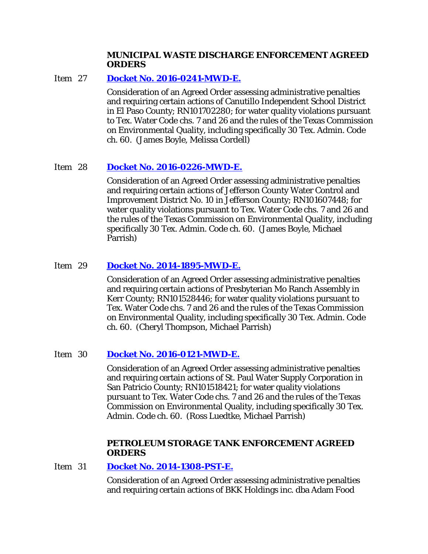### **MUNICIPAL WASTE DISCHARGE ENFORCEMENT AGREED ORDERS**

# Item 27 **[Docket No. 2016-0241-MWD-E.](http://www.tceq.texas.gov/assets/public/comm_exec/agendas/comm/backup/Agendas/2017/04-26-2017/0241MWD.pdf)**

Consideration of an Agreed Order assessing administrative penalties and requiring certain actions of Canutillo Independent School District in El Paso County; RN101702280; for water quality violations pursuant to Tex. Water Code chs. 7 and 26 and the rules of the Texas Commission on Environmental Quality, including specifically 30 Tex. Admin. Code ch. 60. (James Boyle, Melissa Cordell)

# Item 28 **[Docket No. 2016-0226-MWD-E.](http://www.tceq.texas.gov/assets/public/comm_exec/agendas/comm/backup/Agendas/2017/04-26-2017/0226MWD.pdf)**

Consideration of an Agreed Order assessing administrative penalties and requiring certain actions of Jefferson County Water Control and Improvement District No. 10 in Jefferson County; RN101607448; for water quality violations pursuant to Tex. Water Code chs. 7 and 26 and the rules of the Texas Commission on Environmental Quality, including specifically 30 Tex. Admin. Code ch. 60. (James Boyle, Michael Parrish)

# Item 29 **[Docket No. 2014-1895-MWD-E.](http://www.tceq.texas.gov/assets/public/comm_exec/agendas/comm/backup/Agendas/2017/04-26-2017/1895MWD.pdf)**

Consideration of an Agreed Order assessing administrative penalties and requiring certain actions of Presbyterian Mo Ranch Assembly in Kerr County; RN101528446; for water quality violations pursuant to Tex. Water Code chs. 7 and 26 and the rules of the Texas Commission on Environmental Quality, including specifically 30 Tex. Admin. Code ch. 60. (Cheryl Thompson, Michael Parrish)

# Item 30 **[Docket No. 2016-0121-MWD-E.](http://www.tceq.texas.gov/assets/public/comm_exec/agendas/comm/backup/Agendas/2017/04-26-2017/0121MWD.pdf)**

Consideration of an Agreed Order assessing administrative penalties and requiring certain actions of St. Paul Water Supply Corporation in San Patricio County; RN101518421; for water quality violations pursuant to Tex. Water Code chs. 7 and 26 and the rules of the Texas Commission on Environmental Quality, including specifically 30 Tex. Admin. Code ch. 60. (Ross Luedtke, Michael Parrish)

### **PETROLEUM STORAGE TANK ENFORCEMENT AGREED ORDERS**

### Item 31 **[Docket No. 2014-1308-PST-E.](http://www.tceq.texas.gov/assets/public/comm_exec/agendas/comm/backup/Agendas/2017/04-26-2017/1308PST.pdf)**

Consideration of an Agreed Order assessing administrative penalties and requiring certain actions of BKK Holdings inc. dba Adam Food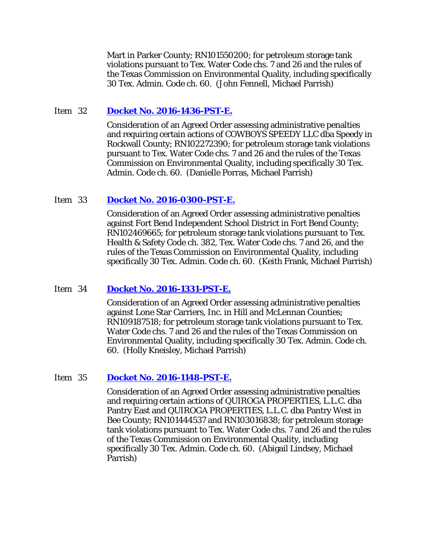Mart in Parker County; RN101550200; for petroleum storage tank violations pursuant to Tex. Water Code chs. 7 and 26 and the rules of the Texas Commission on Environmental Quality, including specifically 30 Tex. Admin. Code ch. 60. (John Fennell, Michael Parrish)

### Item 32 **[Docket No. 2016-1436-PST-E.](http://www.tceq.texas.gov/assets/public/comm_exec/agendas/comm/backup/Agendas/2017/04-26-2017/1436PST.pdf)**

Consideration of an Agreed Order assessing administrative penalties and requiring certain actions of COWBOYS SPEEDY LLC dba Speedy in Rockwall County; RN102272390; for petroleum storage tank violations pursuant to Tex. Water Code chs. 7 and 26 and the rules of the Texas Commission on Environmental Quality, including specifically 30 Tex. Admin. Code ch. 60. (Danielle Porras, Michael Parrish)

### Item 33 **[Docket No. 2016-0300-PST-E.](http://www.tceq.texas.gov/assets/public/comm_exec/agendas/comm/backup/Agendas/2017/04-26-2017/0300PST.pdf)**

Consideration of an Agreed Order assessing administrative penalties against Fort Bend Independent School District in Fort Bend County; RN102469665; for petroleum storage tank violations pursuant to Tex. Health & Safety Code ch. 382, Tex. Water Code chs. 7 and 26, and the rules of the Texas Commission on Environmental Quality, including specifically 30 Tex. Admin. Code ch. 60. (Keith Frank, Michael Parrish)

# Item 34 **[Docket No. 2016-1331-PST-E.](http://www.tceq.texas.gov/assets/public/comm_exec/agendas/comm/backup/Agendas/2017/04-26-2017/1331PST.pdf)**

Consideration of an Agreed Order assessing administrative penalties against Lone Star Carriers, Inc. in Hill and McLennan Counties; RN109187518; for petroleum storage tank violations pursuant to Tex. Water Code chs. 7 and 26 and the rules of the Texas Commission on Environmental Quality, including specifically 30 Tex. Admin. Code ch. 60. (Holly Kneisley, Michael Parrish)

### Item 35 **[Docket No. 2016-1148-PST-E.](http://www.tceq.texas.gov/assets/public/comm_exec/agendas/comm/backup/Agendas/2017/04-26-2017/1148PST.pdf)**

Consideration of an Agreed Order assessing administrative penalties and requiring certain actions of QUIROGA PROPERTIES, L.L.C. dba Pantry East and QUIROGA PROPERTIES, L.L.C. dba Pantry West in Bee County; RN101444537 and RN103016838; for petroleum storage tank violations pursuant to Tex. Water Code chs. 7 and 26 and the rules of the Texas Commission on Environmental Quality, including specifically 30 Tex. Admin. Code ch. 60. (Abigail Lindsey, Michael Parrish)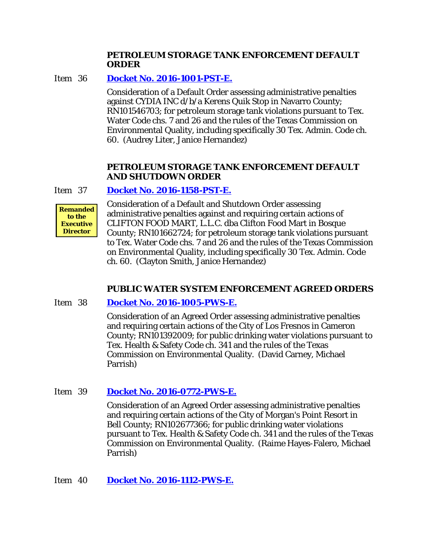### **PETROLEUM STORAGE TANK ENFORCEMENT DEFAULT ORDER**

Item 36 **[Docket No. 2016-1001-PST-E.](http://www.tceq.texas.gov/assets/public/comm_exec/agendas/comm/backup/Agendas/2017/04-26-2017/1001PST.pdf)**

Consideration of a Default Order assessing administrative penalties against CYDIA INC d/b/a Kerens Quik Stop in Navarro County; RN101546703; for petroleum storage tank violations pursuant to Tex. Water Code chs. 7 and 26 and the rules of the Texas Commission on Environmental Quality, including specifically 30 Tex. Admin. Code ch. 60. (Audrey Liter, Janice Hernandez)

# **PETROLEUM STORAGE TANK ENFORCEMENT DEFAULT AND SHUTDOWN ORDER**

# Item 37 **[Docket No. 2016-1158-PST-E.](http://www.tceq.texas.gov/assets/public/comm_exec/agendas/comm/backup/Agendas/2017/04-26-2017/1158PST.pdf)**



Consideration of a Default and Shutdown Order assessing administrative penalties against and requiring certain actions of CLIFTON FOOD MART, L.L.C. dba Clifton Food Mart in Bosque County; RN101662724; for petroleum storage tank violations pursuant to Tex. Water Code chs. 7 and 26 and the rules of the Texas Commission on Environmental Quality, including specifically 30 Tex. Admin. Code ch. 60. (Clayton Smith, Janice Hernandez)

# **PUBLIC WATER SYSTEM ENFORCEMENT AGREED ORDERS**

# Item 38 **[Docket No. 2016-1005-PWS-E.](http://www.tceq.texas.gov/assets/public/comm_exec/agendas/comm/backup/Agendas/2017/04-26-2017/1005PWS.pdf)**

Consideration of an Agreed Order assessing administrative penalties and requiring certain actions of the City of Los Fresnos in Cameron County; RN101392009; for public drinking water violations pursuant to Tex. Health & Safety Code ch. 341 and the rules of the Texas Commission on Environmental Quality. (David Carney, Michael Parrish)

# Item 39 **[Docket No. 2016-0772-PWS-E.](http://www.tceq.texas.gov/assets/public/comm_exec/agendas/comm/backup/Agendas/2017/04-26-2017/0772PWS.pdf)**

Consideration of an Agreed Order assessing administrative penalties and requiring certain actions of the City of Morgan's Point Resort in Bell County; RN102677366; for public drinking water violations pursuant to Tex. Health & Safety Code ch. 341 and the rules of the Texas Commission on Environmental Quality. (Raime Hayes-Falero, Michael Parrish)

# Item 40 **[Docket No. 2016-1112-PWS-E.](http://www.tceq.texas.gov/assets/public/comm_exec/agendas/comm/backup/Agendas/2017/04-26-2017/1112PWS.pdf)**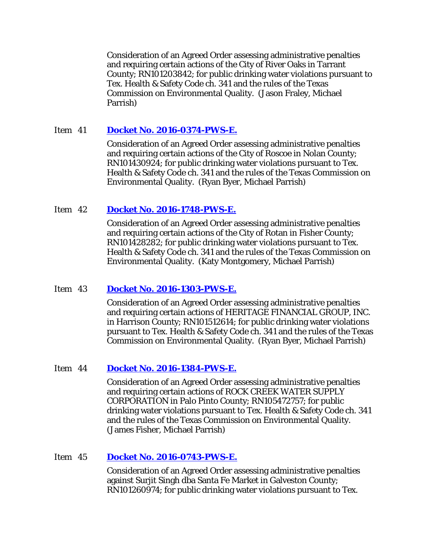Consideration of an Agreed Order assessing administrative penalties and requiring certain actions of the City of River Oaks in Tarrant County; RN101203842; for public drinking water violations pursuant to Tex. Health & Safety Code ch. 341 and the rules of the Texas Commission on Environmental Quality. (Jason Fraley, Michael Parrish)

# Item 41 **[Docket No. 2016-0374-PWS-E.](http://www.tceq.texas.gov/assets/public/comm_exec/agendas/comm/backup/Agendas/2017/04-26-2017/0374PWS.pdf)**

Consideration of an Agreed Order assessing administrative penalties and requiring certain actions of the City of Roscoe in Nolan County; RN101430924; for public drinking water violations pursuant to Tex. Health & Safety Code ch. 341 and the rules of the Texas Commission on Environmental Quality. (Ryan Byer, Michael Parrish)

# Item 42 **[Docket No. 2016-1748-PWS-E.](http://www.tceq.texas.gov/assets/public/comm_exec/agendas/comm/backup/Agendas/2017/04-26-2017/1748PWS.pdf)**

Consideration of an Agreed Order assessing administrative penalties and requiring certain actions of the City of Rotan in Fisher County; RN101428282; for public drinking water violations pursuant to Tex. Health & Safety Code ch. 341 and the rules of the Texas Commission on Environmental Quality. (Katy Montgomery, Michael Parrish)

# Item 43 **[Docket No. 2016-1303-PWS-E.](http://www.tceq.texas.gov/assets/public/comm_exec/agendas/comm/backup/Agendas/2017/04-26-2017/1303PWS.pdf)**

Consideration of an Agreed Order assessing administrative penalties and requiring certain actions of HERITAGE FINANCIAL GROUP, INC. in Harrison County; RN101512614; for public drinking water violations pursuant to Tex. Health & Safety Code ch. 341 and the rules of the Texas Commission on Environmental Quality. (Ryan Byer, Michael Parrish)

# Item 44 **[Docket No. 2016-1384-PWS-E.](http://www.tceq.texas.gov/assets/public/comm_exec/agendas/comm/backup/Agendas/2017/04-26-2017/1384PWS.pdf)**

Consideration of an Agreed Order assessing administrative penalties and requiring certain actions of ROCK CREEK WATER SUPPLY CORPORATION in Palo Pinto County; RN105472757; for public drinking water violations pursuant to Tex. Health & Safety Code ch. 341 and the rules of the Texas Commission on Environmental Quality. (James Fisher, Michael Parrish)

# Item 45 **[Docket No. 2016-0743-PWS-E.](http://www.tceq.texas.gov/assets/public/comm_exec/agendas/comm/backup/Agendas/2017/04-26-2017/0743PWS.pdf)**

Consideration of an Agreed Order assessing administrative penalties against Surjit Singh dba Santa Fe Market in Galveston County; RN101260974; for public drinking water violations pursuant to Tex.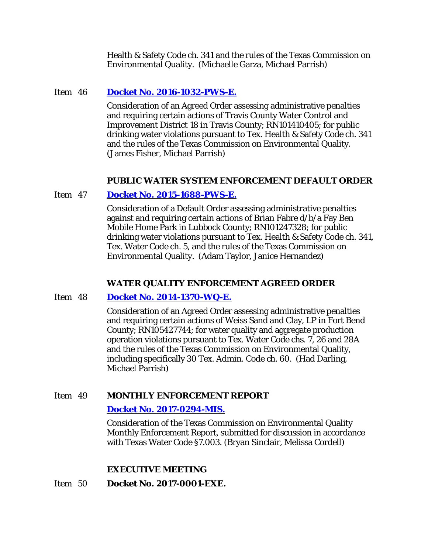Health & Safety Code ch. 341 and the rules of the Texas Commission on Environmental Quality. (Michaelle Garza, Michael Parrish)

### Item 46 **[Docket No. 2016-1032-PWS-E.](http://www.tceq.texas.gov/assets/public/comm_exec/agendas/comm/backup/Agendas/2017/04-26-2017/1032PWS.pdf)**

Consideration of an Agreed Order assessing administrative penalties and requiring certain actions of Travis County Water Control and Improvement District 18 in Travis County; RN101410405; for public drinking water violations pursuant to Tex. Health & Safety Code ch. 341 and the rules of the Texas Commission on Environmental Quality. (James Fisher, Michael Parrish)

### **PUBLIC WATER SYSTEM ENFORCEMENT DEFAULT ORDER**

### Item 47 **[Docket No. 2015-1688-PWS-E.](http://www.tceq.texas.gov/assets/public/comm_exec/agendas/comm/backup/Agendas/2017/04-26-2017/1688PWS.pdf)**

Consideration of a Default Order assessing administrative penalties against and requiring certain actions of Brian Fabre d/b/a Fay Ben Mobile Home Park in Lubbock County; RN101247328; for public drinking water violations pursuant to Tex. Health & Safety Code ch. 341, Tex. Water Code ch. 5, and the rules of the Texas Commission on Environmental Quality. (Adam Taylor, Janice Hernandez)

# **WATER QUALITY ENFORCEMENT AGREED ORDER**

### Item 48 **[Docket No. 2014-1370-WQ-E.](http://www.tceq.texas.gov/assets/public/comm_exec/agendas/comm/backup/Agendas/2017/04-26-2017/1370WQ.pdf)**

Consideration of an Agreed Order assessing administrative penalties and requiring certain actions of Weiss Sand and Clay, LP in Fort Bend County; RN105427744; for water quality and aggregate production operation violations pursuant to Tex. Water Code chs. 7, 26 and 28A and the rules of the Texas Commission on Environmental Quality, including specifically 30 Tex. Admin. Code ch. 60. (Had Darling, Michael Parrish)

### Item 49 **MONTHLY ENFORCEMENT REPORT**

### **[Docket No. 2017-0294-MIS.](http://www.tceq.texas.gov/assets/public/comm_exec/agendas/comm/backup/Agendas/2017/04-26-2017/0294MIS.pdf)**

Consideration of the Texas Commission on Environmental Quality Monthly Enforcement Report, submitted for discussion in accordance with Texas Water Code §7.003. (Bryan Sinclair, Melissa Cordell)

# **EXECUTIVE MEETING**

# Item 50 **Docket No. 2017-0001-EXE.**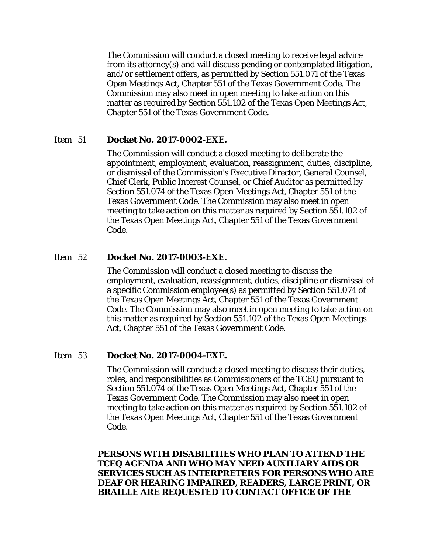The Commission will conduct a closed meeting to receive legal advice from its attorney(s) and will discuss pending or contemplated litigation, and/or settlement offers, as permitted by Section 551.071 of the Texas Open Meetings Act, Chapter 551 of the Texas Government Code. The Commission may also meet in open meeting to take action on this matter as required by Section 551.102 of the Texas Open Meetings Act, Chapter 551 of the Texas Government Code.

### Item 51 **Docket No. 2017-0002-EXE.**

The Commission will conduct a closed meeting to deliberate the appointment, employment, evaluation, reassignment, duties, discipline, or dismissal of the Commission's Executive Director, General Counsel, Chief Clerk, Public Interest Counsel, or Chief Auditor as permitted by Section 551.074 of the Texas Open Meetings Act, Chapter 551 of the Texas Government Code. The Commission may also meet in open meeting to take action on this matter as required by Section 551.102 of the Texas Open Meetings Act, Chapter 551 of the Texas Government Code.

#### Item 52 **Docket No. 2017-0003-EXE.**

The Commission will conduct a closed meeting to discuss the employment, evaluation, reassignment, duties, discipline or dismissal of a specific Commission employee(s) as permitted by Section 551.074 of the Texas Open Meetings Act, Chapter 551 of the Texas Government Code. The Commission may also meet in open meeting to take action on this matter as required by Section 551.102 of the Texas Open Meetings Act, Chapter 551 of the Texas Government Code.

#### Item 53 **Docket No. 2017-0004-EXE.**

The Commission will conduct a closed meeting to discuss their duties, roles, and responsibilities as Commissioners of the TCEQ pursuant to Section 551.074 of the Texas Open Meetings Act, Chapter 551 of the Texas Government Code. The Commission may also meet in open meeting to take action on this matter as required by Section 551.102 of the Texas Open Meetings Act, Chapter 551 of the Texas Government Code.

**PERSONS WITH DISABILITIES WHO PLAN TO ATTEND THE TCEQ AGENDA AND WHO MAY NEED AUXILIARY AIDS OR SERVICES SUCH AS INTERPRETERS FOR PERSONS WHO ARE DEAF OR HEARING IMPAIRED, READERS, LARGE PRINT, OR BRAILLE ARE REQUESTED TO CONTACT OFFICE OF THE**